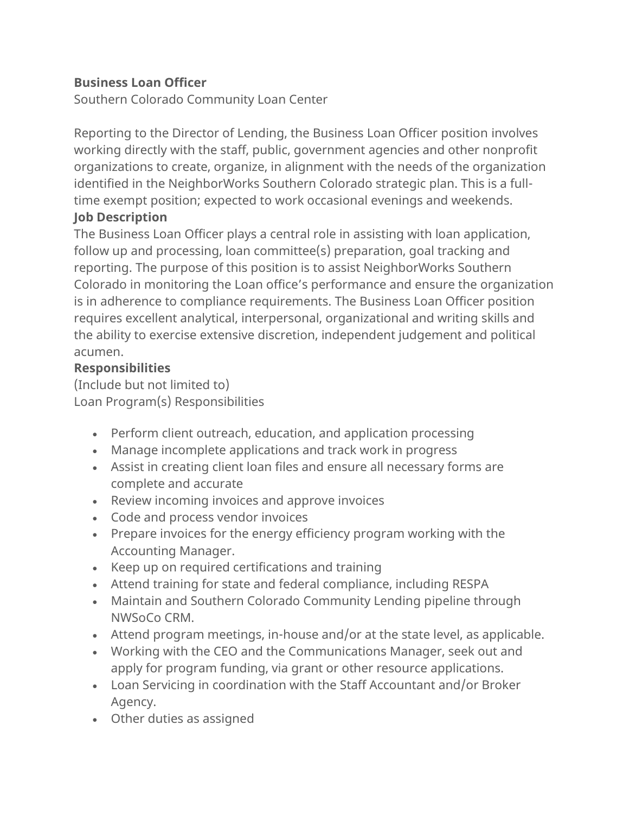### **Business Loan Officer**

Southern Colorado Community Loan Center

Reporting to the Director of Lending, the Business Loan Officer position involves working directly with the staff, public, government agencies and other nonprofit organizations to create, organize, in alignment with the needs of the organization identified in the NeighborWorks Southern Colorado strategic plan. This is a fulltime exempt position; expected to work occasional evenings and weekends. **Job Description**

The Business Loan Officer plays a central role in assisting with loan application, follow up and processing, loan committee(s) preparation, goal tracking and reporting. The purpose of this position is to assist NeighborWorks Southern Colorado in monitoring the Loan office's performance and ensure the organization is in adherence to compliance requirements. The Business Loan Officer position requires excellent analytical, interpersonal, organizational and writing skills and the ability to exercise extensive discretion, independent judgement and political acumen.

#### **Responsibilities**

(Include but not limited to) Loan Program(s) Responsibilities

- Perform client outreach, education, and application processing
- Manage incomplete applications and track work in progress
- Assist in creating client loan files and ensure all necessary forms are complete and accurate
- Review incoming invoices and approve invoices
- Code and process vendor invoices
- Prepare invoices for the energy efficiency program working with the Accounting Manager.
- Keep up on required certifications and training
- Attend training for state and federal compliance, including RESPA
- Maintain and Southern Colorado Community Lending pipeline through NWSoCo CRM.
- Attend program meetings, in-house and/or at the state level, as applicable.
- Working with the CEO and the Communications Manager, seek out and apply for program funding, via grant or other resource applications.
- Loan Servicing in coordination with the Staff Accountant and/or Broker Agency.
- Other duties as assigned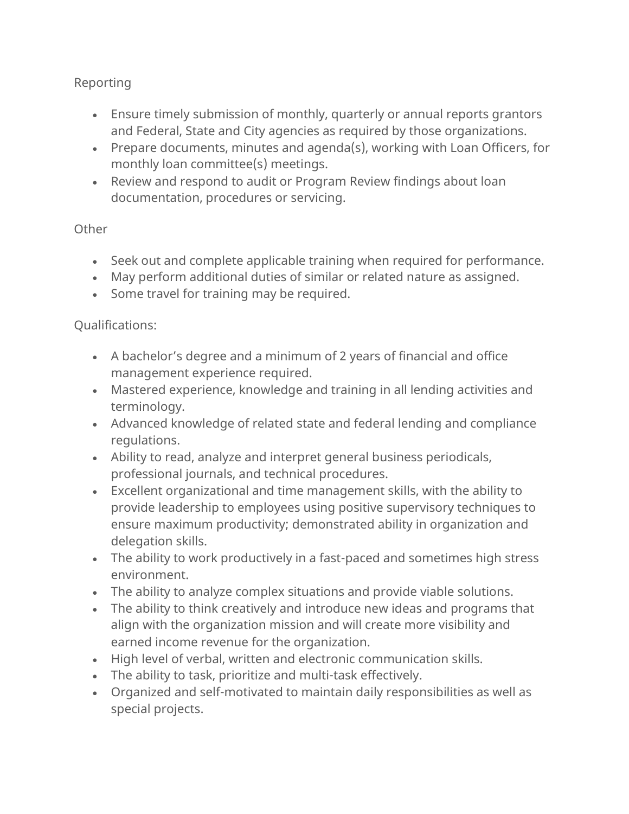#### Reporting

- Ensure timely submission of monthly, quarterly or annual reports grantors and Federal, State and City agencies as required by those organizations.
- Prepare documents, minutes and agenda(s), working with Loan Officers, for monthly loan committee(s) meetings.
- Review and respond to audit or Program Review findings about loan documentation, procedures or servicing.

#### **Other**

- Seek out and complete applicable training when required for performance.
- May perform additional duties of similar or related nature as assigned.
- Some travel for training may be required.

#### Qualifications:

- A bachelor's degree and a minimum of 2 years of financial and office management experience required.
- Mastered experience, knowledge and training in all lending activities and terminology.
- Advanced knowledge of related state and federal lending and compliance regulations.
- Ability to read, analyze and interpret general business periodicals, professional journals, and technical procedures.
- Excellent organizational and time management skills, with the ability to provide leadership to employees using positive supervisory techniques to ensure maximum productivity; demonstrated ability in organization and delegation skills.
- The ability to work productively in a fast-paced and sometimes high stress environment.
- The ability to analyze complex situations and provide viable solutions.
- The ability to think creatively and introduce new ideas and programs that align with the organization mission and will create more visibility and earned income revenue for the organization.
- High level of verbal, written and electronic communication skills.
- The ability to task, prioritize and multi-task effectively.
- Organized and self-motivated to maintain daily responsibilities as well as special projects.